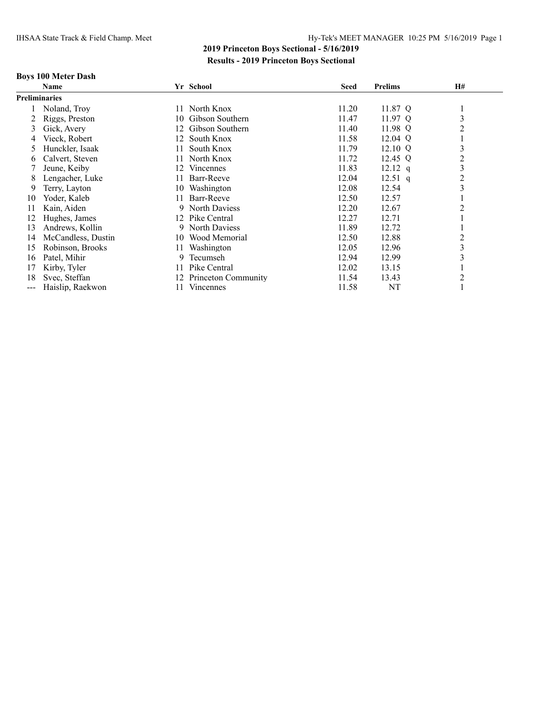### **Boys 100 Meter Dash**

|                      | Name               |     | Yr School           | <b>Seed</b> | <b>Prelims</b> | H#             |
|----------------------|--------------------|-----|---------------------|-------------|----------------|----------------|
| <b>Preliminaries</b> |                    |     |                     |             |                |                |
|                      | Noland, Troy       | 11. | North Knox          | 11.20       | 11.87 Q        |                |
|                      | Riggs, Preston     | 10  | Gibson Southern     | 11.47       | 11.97 Q        | 3              |
| 3                    | Gick, Avery        | 12  | Gibson Southern     | 11.40       | 11.98 Q        | $\overline{c}$ |
| 4                    | Vieck, Robert      | 12  | South Knox          | 11.58       | $12.04$ Q      |                |
| 5.                   | Hunckler, Isaak    | 11  | South Knox          | 11.79       | $12.10 \Omega$ | 3              |
| 6                    | Calvert, Steven    | 11  | North Knox          | 11.72       | 12.45 Q        | 2              |
|                      | Jeune, Keiby       | 12  | <b>Vincennes</b>    | 11.83       | $12.12$ q      | 3              |
| 8                    | Lengacher, Luke    | 11  | Barr-Reeve          | 12.04       | $12.51$ q      | $\overline{c}$ |
| 9                    | Terry, Layton      | 10  | Washington          | 12.08       | 12.54          | 3              |
| 10                   | Yoder, Kaleb       | 11  | Barr-Reeve          | 12.50       | 12.57          |                |
| 11                   | Kain, Aiden        |     | 9 North Daviess     | 12.20       | 12.67          | $\overline{2}$ |
| 12                   | Hughes, James      | 12  | Pike Central        | 12.27       | 12.71          |                |
| 13                   | Andrews, Kollin    |     | 9 North Daviess     | 11.89       | 12.72          |                |
| 14                   | McCandless, Dustin | 10  | Wood Memorial       | 12.50       | 12.88          | $\overline{c}$ |
| 15                   | Robinson, Brooks   | 11  | Washington          | 12.05       | 12.96          | 3              |
| 16                   | Patel, Mihir       | 9   | Tecumseh            | 12.94       | 12.99          | 3              |
| 17                   | Kirby, Tyler       | 11  | Pike Central        | 12.02       | 13.15          |                |
| 18                   | Svec, Steffan      | 12  | Princeton Community | 11.54       | 13.43          | $\overline{2}$ |
| $---$                | Haislip, Raekwon   |     | Vincennes           | 11.58       | NT             |                |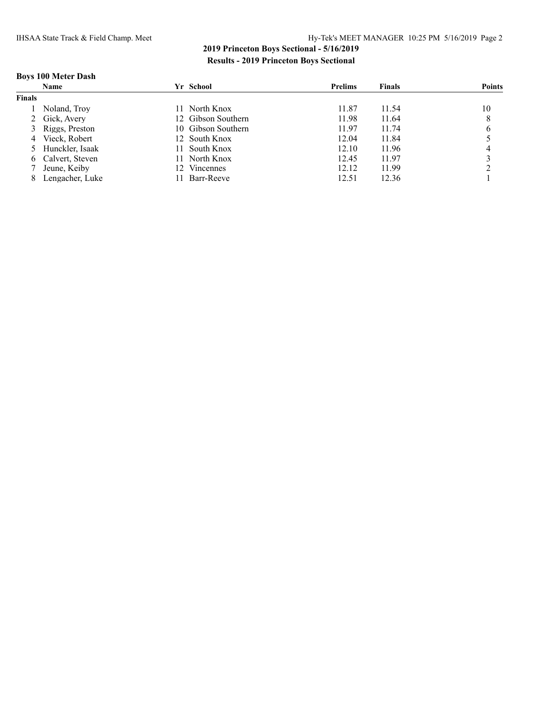### **Boys 100 Meter Dash**

|               | Name              |     | Yr School          | <b>Prelims</b> | <b>Finals</b> | <b>Points</b> |
|---------------|-------------------|-----|--------------------|----------------|---------------|---------------|
| <b>Finals</b> |                   |     |                    |                |               |               |
|               | Noland, Troy      | 11. | North Knox         | 11.87          | 11.54         | 10            |
|               | 2 Gick, Avery     |     | 12 Gibson Southern | 11.98          | 11.64         | 8             |
|               | 3 Riggs, Preston  |     | 10 Gibson Southern | 11.97          | 11.74         | 6             |
|               | 4 Vieck, Robert   |     | 12 South Knox      | 12.04          | 11.84         |               |
|               | 5 Hunckler, Isaak | 11. | South Knox         | 12.10          | 11.96         |               |
|               | 6 Calvert, Steven |     | 11 North Knox      | 12.45          | 11.97         |               |
|               | 7 Jeune, Keiby    |     | Vincennes          | 12.12          | 11.99         |               |
|               | Lengacher, Luke   |     | Barr-Reeve         | 12.51          | 12.36         |               |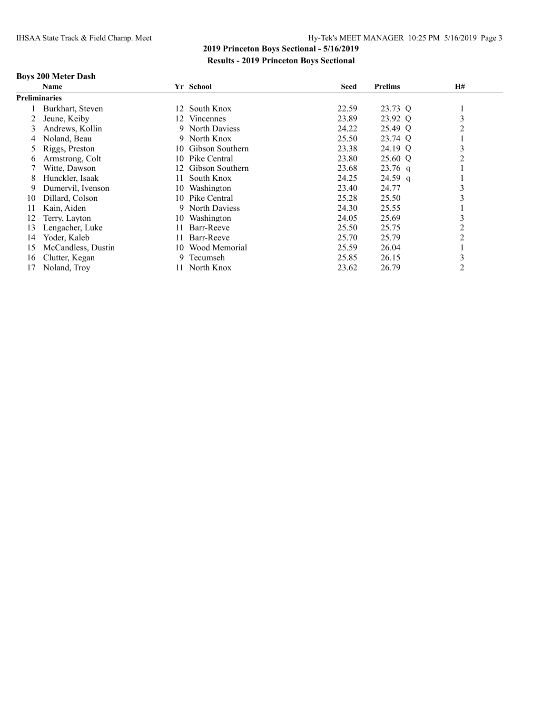### **Boys 200 Meter Dash**

|                      | <b>Name</b>        | Yr School             | <b>Seed</b> | <b>Prelims</b> | H# |
|----------------------|--------------------|-----------------------|-------------|----------------|----|
| <b>Preliminaries</b> |                    |                       |             |                |    |
|                      | Burkhart, Steven   | South Knox<br>12      | 22.59       | 23.73 Q        |    |
|                      | Jeune, Keiby       | Vincennes<br>12       | 23.89       | 23.92 Q        | 3  |
| 3                    | Andrews, Kollin    | North Daviess<br>9    | 24.22       | 25.49 Q        | 2  |
| 4                    | Noland. Beau       | North Knox<br>9.      | 25.50       | 23.74 Q        |    |
| $\mathcal{D}$        | Riggs, Preston     | Gibson Southern<br>10 | 23.38       | 24.19 Q        | 3  |
| 6                    | Armstrong, Colt    | Pike Central<br>10    | 23.80       | 25.60 Q        | 2  |
|                      | Witte, Dawson      | Gibson Southern<br>12 | 23.68       | $23.76$ q      |    |
| 8                    | Hunckler, Isaak    | South Knox<br>11.     | 24.25       | 24.59 q        |    |
| 9                    | Dumervil, Ivenson  | Washington<br>10      | 23.40       | 24.77          | 3  |
| 10                   | Dillard, Colson    | Pike Central<br>10    | 25.28       | 25.50          | 3  |
| 11                   | Kain, Aiden        | North Daviess<br>9    | 24.30       | 25.55          |    |
| 12                   | Terry, Layton      | Washington<br>10      | 24.05       | 25.69          | 3  |
| 13                   | Lengacher, Luke    | Barr-Reeve<br>11.     | 25.50       | 25.75          | 2  |
| 14                   | Yoder, Kaleb       | Barr-Reeve<br>11.     | 25.70       | 25.79          | 2  |
| 15                   | McCandless, Dustin | Wood Memorial<br>10   | 25.59       | 26.04          |    |
| 16                   | Clutter, Kegan     | Tecumseh<br>9         | 25.85       | 26.15          | 3  |
| 17                   | Noland, Troy       | North Knox<br>11      | 23.62       | 26.79          | 2  |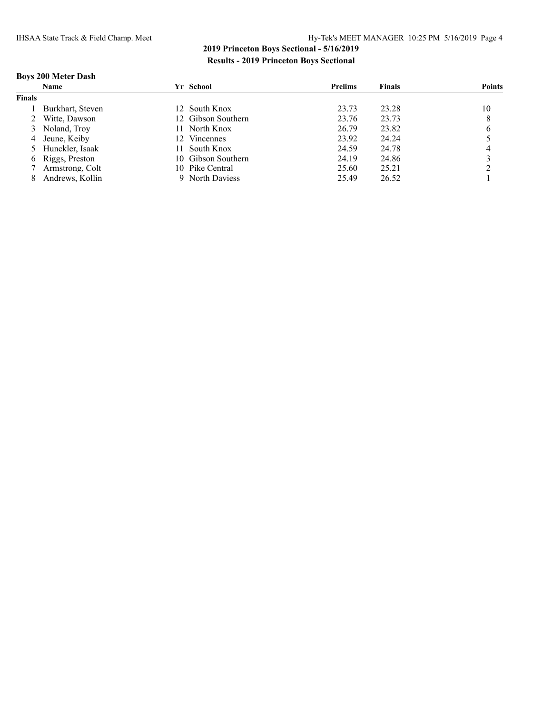### **Boys 200 Meter Dash**

|               | <b>Name</b>       | Yr School                           | <b>Prelims</b> | <b>Finals</b> | <b>Points</b> |
|---------------|-------------------|-------------------------------------|----------------|---------------|---------------|
| <b>Finals</b> |                   |                                     |                |               |               |
|               | Burkhart, Steven  | 12 South Knox                       | 23.73          | 23.28         | 10            |
|               | Witte, Dawson     | 12 Gibson Southern                  | 23.76          | 23.73         | 8             |
|               | 3 Noland, Troy    | North Knox<br>11.                   | 26.79          | 23.82         | 6             |
|               | 4 Jeune, Keiby    | <b>Vincennes</b><br>12 <sup>2</sup> | 23.92          | 24.24         |               |
|               | 5 Hunckler, Isaak | South Knox<br>11.                   | 24.59          | 24.78         |               |
|               | 6 Riggs, Preston  | 10 Gibson Southern                  | 24.19          | 24.86         |               |
|               | 7 Armstrong, Colt | 10 Pike Central                     | 25.60          | 25.21         |               |
|               | Andrews, Kollin   | 9 North Daviess                     | 25.49          | 26.52         |               |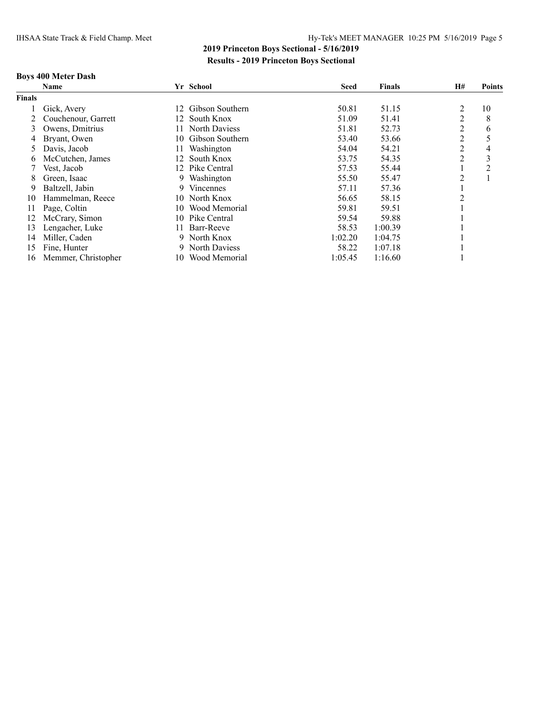### **Boys 400 Meter Dash**

|               | <b>Name</b>         | Yr School              | <b>Seed</b> | <b>Finals</b> | H#             | <b>Points</b> |
|---------------|---------------------|------------------------|-------------|---------------|----------------|---------------|
| <b>Finals</b> |                     |                        |             |               |                |               |
|               | Gick, Avery         | 12 Gibson Southern     | 50.81       | 51.15         | 2              | 10            |
|               | Couchenour, Garrett | 12 South Knox          | 51.09       | 51.41         | 2              | 8             |
| 3             | Owens, Dmitrius     | North Daviess<br>11.   | 51.81       | 52.73         | 2              | 6             |
| 4             | Bryant, Owen        | Gibson Southern<br>10. | 53.40       | 53.66         | 2              |               |
| 5             | Davis, Jacob        | Washington<br>11-      | 54.04       | 54.21         | 2              | 4             |
| b             | McCutchen, James    | 12 South Knox          | 53.75       | 54.35         | $\overline{c}$ | 3             |
|               | Vest, Jacob         | Pike Central<br>12.    | 57.53       | 55.44         |                | 2             |
| 8             | Green, Isaac        | Washington<br>9.       | 55.50       | 55.47         | 2              |               |
| 9             | Baltzell, Jabin     | <b>Vincennes</b><br>9. | 57.11       | 57.36         |                |               |
| 10            | Hammelman, Reece    | North Knox<br>10.      | 56.65       | 58.15         | 2              |               |
| 11            | Page, Coltin        | Wood Memorial<br>10    | 59.81       | 59.51         |                |               |
| 12            | McCrary, Simon      | Pike Central<br>10.    | 59.54       | 59.88         |                |               |
| 13            | Lengacher, Luke     | Barr-Reeve<br>11.      | 58.53       | 1:00.39       |                |               |
| 14            | Miller, Caden       | North Knox<br>9.       | 1:02.20     | 1:04.75       |                |               |
| 15            | Fine, Hunter        | North Daviess<br>9.    | 58.22       | 1:07.18       |                |               |
| 16            | Memmer, Christopher | Wood Memorial<br>10-   | 1:05.45     | 1:16.60       |                |               |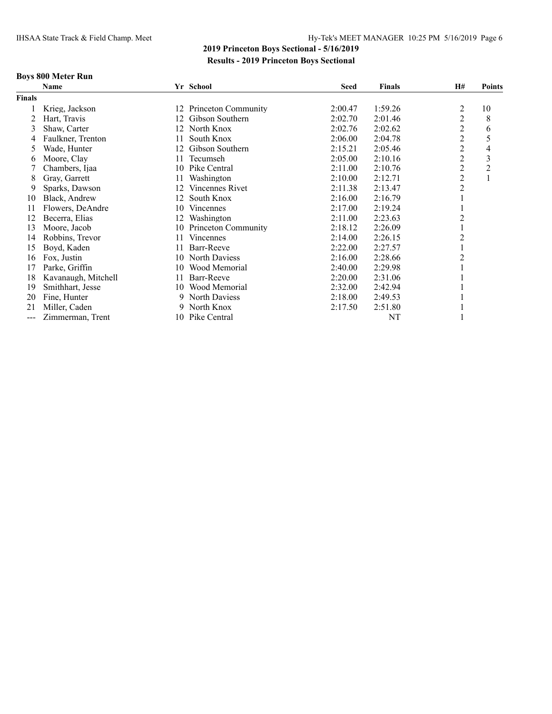### **Boys 800 Meter Run**

|                   | Name                |     | Yr School           | <b>Seed</b> | <b>Finals</b> | <b>H#</b>      | <b>Points</b>  |
|-------------------|---------------------|-----|---------------------|-------------|---------------|----------------|----------------|
| Finals            |                     |     |                     |             |               |                |                |
|                   | Krieg, Jackson      | 12  | Princeton Community | 2:00.47     | 1:59.26       | 2              | 10             |
| 2                 | Hart, Travis        | 12  | Gibson Southern     | 2:02.70     | 2:01.46       | $\overline{2}$ | 8              |
| 3                 | Shaw, Carter        | 12  | North Knox          | 2:02.76     | 2:02.62       | 2              | 6              |
| 4                 | Faulkner, Trenton   | 11  | South Knox          | 2:06.00     | 2:04.78       | 2              | 5              |
| 5                 | Wade, Hunter        | 12. | Gibson Southern     | 2:15.21     | 2:05.46       | 2              | 4              |
| 6                 | Moore, Clay         | 11. | Tecumseh            | 2:05.00     | 2:10.16       | 2              | 3              |
|                   | Chambers, Ijaa      | 10  | Pike Central        | 2:11.00     | 2:10.76       | $\overline{c}$ | $\overline{2}$ |
| 8                 | Gray, Garrett       | 11. | Washington          | 2:10.00     | 2:12.71       | $\overline{c}$ | 1              |
| 9                 | Sparks, Dawson      | 12. | Vincennes Rivet     | 2:11.38     | 2:13.47       | $\overline{c}$ |                |
| 10                | Black, Andrew       | 12  | South Knox          | 2:16.00     | 2:16.79       |                |                |
| 11                | Flowers, DeAndre    | 10  | <b>Vincennes</b>    | 2:17.00     | 2:19.24       |                |                |
| 12                | Becerra, Elias      | 12  | Washington          | 2:11.00     | 2:23.63       | 2              |                |
| 13                | Moore, Jacob        | 10  | Princeton Community | 2:18.12     | 2:26.09       |                |                |
| 14                | Robbins, Trevor     | 11  | <b>Vincennes</b>    | 2:14.00     | 2:26.15       | 2              |                |
| 15                | Boyd, Kaden         | 11  | Barr-Reeve          | 2:22.00     | 2:27.57       |                |                |
| 16                | Fox, Justin         | 10  | North Daviess       | 2:16.00     | 2:28.66       | 2              |                |
| 17                | Parke, Griffin      | 10  | Wood Memorial       | 2:40.00     | 2:29.98       |                |                |
| 18                | Kavanaugh, Mitchell | 11. | Barr-Reeve          | 2:20.00     | 2:31.06       |                |                |
| 19                | Smithhart, Jesse    | 10  | Wood Memorial       | 2:32.00     | 2:42.94       |                |                |
| 20                | Fine, Hunter        | 9.  | North Daviess       | 2:18.00     | 2:49.53       |                |                |
| 21                | Miller, Caden       | 9   | North Knox          | 2:17.50     | 2:51.80       |                |                |
| $\qquad \qquad -$ | Zimmerman, Trent    |     | 10 Pike Central     |             | NT            |                |                |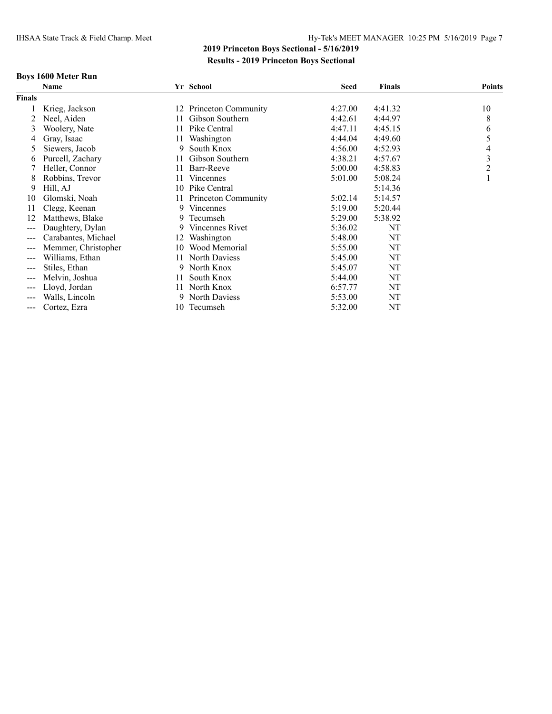### **Boys 1600 Meter Run**

|                          | Name                |     | Yr School            | <b>Seed</b> | Finals  | <b>Points</b> |
|--------------------------|---------------------|-----|----------------------|-------------|---------|---------------|
| <b>Finals</b>            |                     |     |                      |             |         |               |
|                          | Krieg, Jackson      | 12  | Princeton Community  | 4:27.00     | 4:41.32 | 10            |
|                          | Neel, Aiden         | 11. | Gibson Southern      | 4:42.61     | 4:44.97 | 8             |
| 3                        | Woolery, Nate       | 11  | Pike Central         | 4:47.11     | 4:45.15 | 6             |
| 4                        | Gray, Isaac         | 11. | Washington           | 4:44.04     | 4:49.60 | 5             |
| 5                        | Siewers, Jacob      | 9   | South Knox           | 4:56.00     | 4:52.93 | 4             |
| 6                        | Purcell, Zachary    | 11  | Gibson Southern      | 4:38.21     | 4:57.67 | 3             |
|                          | Heller, Connor      | 11  | Barr-Reeve           | 5:00.00     | 4:58.83 | 2             |
| 8                        | Robbins, Trevor     | 11  | <b>Vincennes</b>     | 5:01.00     | 5:08.24 |               |
| 9                        | Hill, AJ            | 10  | Pike Central         |             | 5:14.36 |               |
| 10                       | Glomski, Noah       | 11  | Princeton Community  | 5:02.14     | 5:14.57 |               |
| 11                       | Clegg, Keenan       | 9.  | Vincennes            | 5:19.00     | 5:20.44 |               |
| 12                       | Matthews, Blake     | 9   | Tecumseh             | 5:29.00     | 5:38.92 |               |
| $---$                    | Daughtery, Dylan    | 9.  | Vincennes Rivet      | 5:36.02     | NT      |               |
| $---$                    | Carabantes, Michael | 12  | Washington           | 5:48.00     | NT      |               |
| $---$                    | Memmer, Christopher | 10  | Wood Memorial        | 5:55.00     | NT      |               |
| $---$                    | Williams, Ethan     | 11. | <b>North Daviess</b> | 5:45.00     | NT      |               |
| $---$                    | Stiles, Ethan       | 9   | North Knox           | 5:45.07     | NT      |               |
| $\qquad \qquad \qquad -$ | Melvin, Joshua      | 11  | South Knox           | 5:44.00     | NT      |               |
| $---$                    | Lloyd, Jordan       | 11. | North Knox           | 6:57.77     | NT      |               |
| $---$                    | Walls, Lincoln      | 9.  | North Daviess        | 5:53.00     | NT      |               |
| $---$                    | Cortez, Ezra        | 10  | Tecumseh             | 5:32.00     | NT      |               |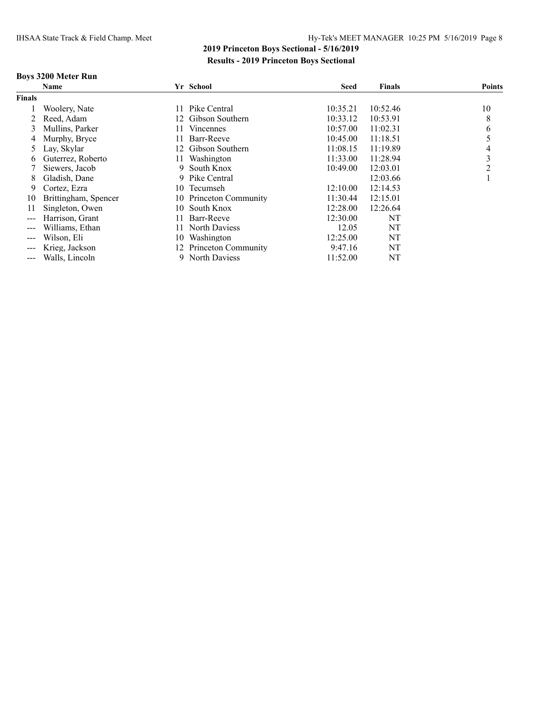### **Boys 3200 Meter Run**

|                                                                                                                                                                                                                                                                                                                                                                                                                                                                            | <b>Name</b>          |     | Yr School              | Seed     | <b>Finals</b> | <b>Points</b> |
|----------------------------------------------------------------------------------------------------------------------------------------------------------------------------------------------------------------------------------------------------------------------------------------------------------------------------------------------------------------------------------------------------------------------------------------------------------------------------|----------------------|-----|------------------------|----------|---------------|---------------|
| <b>Finals</b>                                                                                                                                                                                                                                                                                                                                                                                                                                                              |                      |     |                        |          |               |               |
|                                                                                                                                                                                                                                                                                                                                                                                                                                                                            | Woolery, Nate        | 11  | Pike Central           | 10:35.21 | 10:52.46      | 10            |
|                                                                                                                                                                                                                                                                                                                                                                                                                                                                            | Reed. Adam           | 12. | Gibson Southern        | 10:33.12 | 10:53.91      | 8             |
| 3                                                                                                                                                                                                                                                                                                                                                                                                                                                                          | Mullins, Parker      | 11  | Vincennes              | 10:57.00 | 11:02.31      | 6             |
| 4                                                                                                                                                                                                                                                                                                                                                                                                                                                                          | Murphy, Bryce        | 11. | Barr-Reeve             | 10:45.00 | 11:18.51      |               |
| 5                                                                                                                                                                                                                                                                                                                                                                                                                                                                          | Lay, Skylar          | 12. | Gibson Southern        | 11:08.15 | 11:19.89      | 4             |
| 6                                                                                                                                                                                                                                                                                                                                                                                                                                                                          | Guterrez, Roberto    | 11. | Washington             | 11:33.00 | 11:28.94      | 3             |
|                                                                                                                                                                                                                                                                                                                                                                                                                                                                            | Siewers, Jacob       | 9   | South Knox             | 10:49.00 | 12:03.01      | າ             |
| 8                                                                                                                                                                                                                                                                                                                                                                                                                                                                          | Gladish, Dane        | 9.  | Pike Central           |          | 12:03.66      |               |
| 9                                                                                                                                                                                                                                                                                                                                                                                                                                                                          | Cortez, Ezra         | 10  | Tecumseh               | 12:10.00 | 12:14.53      |               |
| 10                                                                                                                                                                                                                                                                                                                                                                                                                                                                         | Brittingham, Spencer | 10. | Princeton Community    | 11:30.44 | 12:15.01      |               |
| 11                                                                                                                                                                                                                                                                                                                                                                                                                                                                         | Singleton, Owen      | 10. | South Knox             | 12:28.00 | 12:26.64      |               |
| $\qquad \qquad -$                                                                                                                                                                                                                                                                                                                                                                                                                                                          | Harrison, Grant      | 11  | Barr-Reeve             | 12:30.00 | NT            |               |
| ---                                                                                                                                                                                                                                                                                                                                                                                                                                                                        | Williams, Ethan      | 11. | North Daviess          | 12.05    | NT            |               |
| $---$                                                                                                                                                                                                                                                                                                                                                                                                                                                                      | Wilson, Eli          | 10  | Washington             | 12:25.00 | NT            |               |
| $\qquad \qquad \cdots$                                                                                                                                                                                                                                                                                                                                                                                                                                                     | Krieg, Jackson       |     | 12 Princeton Community | 9:47.16  | NT            |               |
| $\frac{1}{2} \left( \frac{1}{2} \right) \left( \frac{1}{2} \right) \left( \frac{1}{2} \right) \left( \frac{1}{2} \right) \left( \frac{1}{2} \right) \left( \frac{1}{2} \right) \left( \frac{1}{2} \right) \left( \frac{1}{2} \right) \left( \frac{1}{2} \right) \left( \frac{1}{2} \right) \left( \frac{1}{2} \right) \left( \frac{1}{2} \right) \left( \frac{1}{2} \right) \left( \frac{1}{2} \right) \left( \frac{1}{2} \right) \left( \frac{1}{2} \right) \left( \frac$ | Walls, Lincoln       |     | 9 North Daviess        | 11:52.00 | NT            |               |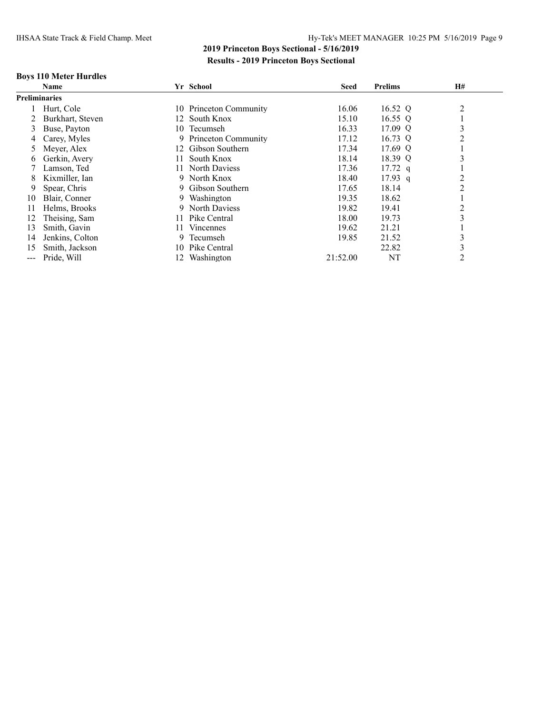### **Boys 110 Meter Hurdles**

|               | <b>Name</b>          |     | Yr School                  | <b>Seed</b> | <b>Prelims</b> | H#             |  |
|---------------|----------------------|-----|----------------------------|-------------|----------------|----------------|--|
|               | <b>Preliminaries</b> |     |                            |             |                |                |  |
|               | Hurt, Cole           |     | 10 Princeton Community     | 16.06       | 16.52 Q        | $\overline{2}$ |  |
|               | Burkhart, Steven     | 12  | South Knox                 | 15.10       | 16.55 Q        |                |  |
| 3             | Buse, Payton         | 10  | Tecumseh                   | 16.33       | 17.09 Q        | 3              |  |
| 4             | Carey, Myles         | 9.  | <b>Princeton Community</b> | 17.12       | 16.73 Q        | 2              |  |
| 5             | Meyer, Alex          |     | 12 Gibson Southern         | 17.34       | 17.69 Q        |                |  |
| $\sigma$      | Gerkin, Avery        | 11. | South Knox                 | 18.14       | 18.39 Q        | 3              |  |
|               | Lamson, Ted          | 11. | North Daviess              | 17.36       | $17.72$ q      |                |  |
| 8             | Kixmiller, Ian       | 9   | North Knox                 | 18.40       | $17.93$ q      | $\overline{c}$ |  |
| 9             | Spear, Chris         | 9.  | Gibson Southern            | 17.65       | 18.14          | $\overline{2}$ |  |
| 10            | Blair, Conner        | 9.  | Washington                 | 19.35       | 18.62          |                |  |
|               | Helms, Brooks        | 9   | North Daviess              | 19.82       | 19.41          | $\overline{2}$ |  |
| 12            | Theising, Sam        | 11  | Pike Central               | 18.00       | 19.73          | 3              |  |
| 13            | Smith, Gavin         | 11. | Vincennes                  | 19.62       | 21.21          |                |  |
| 14            | Jenkins, Colton      | 9   | Tecumseh                   | 19.85       | 21.52          | 3              |  |
| 15            | Smith, Jackson       | 10  | Pike Central               |             | 22.82          | 3              |  |
| $\frac{1}{2}$ | Pride, Will          |     | Washington                 | 21:52.00    | NT             | $\overline{2}$ |  |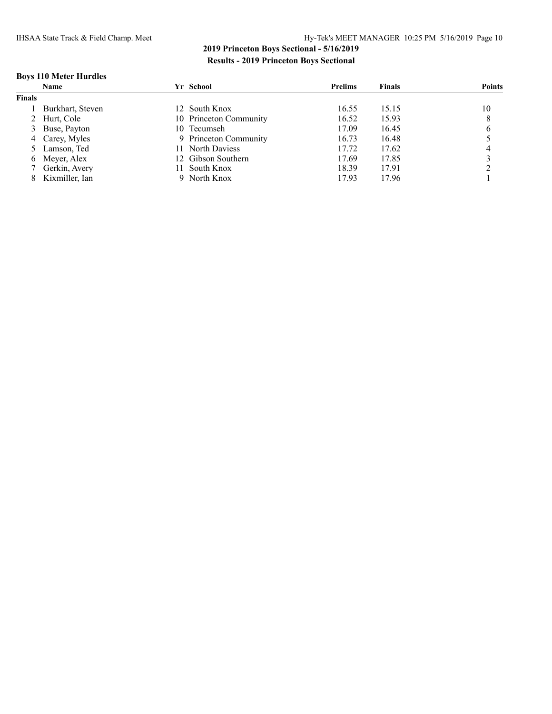### **Boys 110 Meter Hurdles**

|               | Name             | Yr School              | <b>Prelims</b> | <b>Finals</b> | <b>Points</b> |
|---------------|------------------|------------------------|----------------|---------------|---------------|
| <b>Finals</b> |                  |                        |                |               |               |
|               | Burkhart, Steven | 12 South Knox          | 16.55          | 15.15         | 10            |
|               | 2 Hurt, Cole     | 10 Princeton Community | 16.52          | 15.93         | 8             |
|               | 3 Buse, Payton   | 10 Tecumseh            | 17.09          | 16.45         | 6             |
|               | 4 Carey, Myles   | 9 Princeton Community  | 16.73          | 16.48         |               |
|               | 5 Lamson, Ted    | 11 North Daviess       | 17.72          | 17.62         |               |
|               | 6 Meyer, Alex    | 12 Gibson Southern     | 17.69          | 17.85         |               |
|               | / Gerkin, Avery  | South Knox             | 18.39          | 17.91         |               |
|               | Kixmiller. Ian   | North Knox             | 17.93          | 17.96         |               |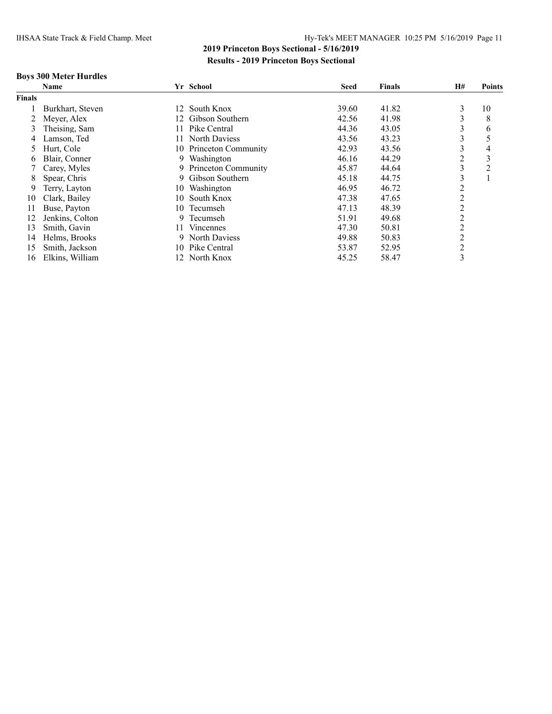### **Boys 300 Meter Hurdles**

|               | <b>Name</b>      |     | Yr School              | <b>Seed</b> | <b>Finals</b> | <b>H#</b> | <b>Points</b> |
|---------------|------------------|-----|------------------------|-------------|---------------|-----------|---------------|
| <b>Finals</b> |                  |     |                        |             |               |           |               |
|               | Burkhart, Steven |     | 12 South Knox          | 39.60       | 41.82         | 3         | 10            |
|               | Meyer, Alex      | 12. | Gibson Southern        | 42.56       | 41.98         | 3         | 8             |
| 3             | Theising, Sam    | 11. | Pike Central           | 44.36       | 43.05         | 3         | 6             |
| 4             | Lamson, Ted      | 11. | North Daviess          | 43.56       | 43.23         | 3         | 5             |
| 5             | Hurt, Cole       |     | 10 Princeton Community | 42.93       | 43.56         | 3         | 4             |
| O             | Blair, Conner    | 9.  | Washington             | 46.16       | 44.29         | 2         | 3             |
|               | Carey, Myles     | 9.  | Princeton Community    | 45.87       | 44.64         | 3         | 2             |
| 8             | Spear, Chris     | 9.  | Gibson Southern        | 45.18       | 44.75         | 3         |               |
| 9             | Terry, Layton    | 10- | Washington             | 46.95       | 46.72         | 2         |               |
| 10            | Clark, Bailey    | 10  | South Knox             | 47.38       | 47.65         | 2         |               |
| 11            | Buse, Payton     | 10  | Tecumseh               | 47.13       | 48.39         | 2         |               |
| 12            | Jenkins, Colton  | 9.  | Tecumseh               | 51.91       | 49.68         | 2         |               |
| 13            | Smith, Gavin     | 11. | <b>Vincennes</b>       | 47.30       | 50.81         | 2         |               |
| 14            | Helms, Brooks    |     | <b>North Daviess</b>   | 49.88       | 50.83         | 2         |               |
| 15            | Smith, Jackson   | 10. | Pike Central           | 53.87       | 52.95         | 2         |               |
| 16            | Elkins, William  | 12. | North Knox             | 45.25       | 58.47         | 3         |               |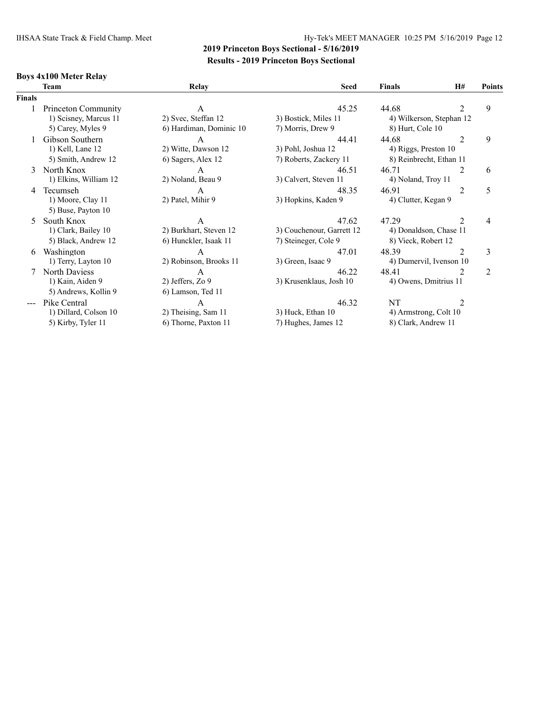### **Boys 4x100 Meter Relay**

|        | <b>Team</b>           | Relay                   | <b>Seed</b>               | <b>Finals</b>           | <b>H#</b>                | <b>Points</b>  |
|--------|-----------------------|-------------------------|---------------------------|-------------------------|--------------------------|----------------|
| Finals |                       |                         |                           |                         |                          |                |
|        | Princeton Community   | A                       | 45.25                     | 44.68                   | 2                        | 9              |
|        | 1) Scisney, Marcus 11 | 2) Svec, Steffan 12     | 3) Bostick, Miles 11      |                         | 4) Wilkerson, Stephan 12 |                |
|        | 5) Carey, Myles 9     | 6) Hardiman, Dominic 10 | 7) Morris, Drew 9         | 8) Hurt, Cole 10        |                          |                |
|        | Gibson Southern       | A                       | 44.41                     | 44.68                   | $\overline{2}$           | 9              |
|        | 1) Kell, Lane 12      | 2) Witte, Dawson 12     | 3) Pohl, Joshua 12        | 4) Riggs, Preston 10    |                          |                |
|        | 5) Smith, Andrew 12   | 6) Sagers, Alex 12      | 7) Roberts, Zackery 11    | 8) Reinbrecht, Ethan 11 |                          |                |
| 3      | North Knox            | A                       | 46.51                     | 46.71                   | 2                        | 6              |
|        | 1) Elkins, William 12 | 2) Noland, Beau 9       | 3) Calvert, Steven 11     | 4) Noland, Troy 11      |                          |                |
| 4      | Tecumseh              | A                       | 48.35                     | 46.91                   | 2                        | 5              |
|        | 1) Moore, Clay 11     | 2) Patel, Mihir 9       | 3) Hopkins, Kaden 9       | 4) Clutter, Kegan 9     |                          |                |
|        | 5) Buse, Payton 10    |                         |                           |                         |                          |                |
| 5.     | South Knox            | А                       | 47.62                     | 47.29                   | 2                        | 4              |
|        | 1) Clark, Bailey 10   | 2) Burkhart, Steven 12  | 3) Couchenour, Garrett 12 | 4) Donaldson, Chase 11  |                          |                |
|        | 5) Black, Andrew 12   | 6) Hunckler, Isaak 11   | 7) Steineger, Cole 9      | 8) Vieck, Robert 12     |                          |                |
| 6      | Washington            | A                       | 47.01                     | 48.39                   | $\overline{2}$           | 3              |
|        | 1) Terry, Layton 10   | 2) Robinson, Brooks 11  | 3) Green, Isaac 9         | 4) Dumervil, Ivenson 10 |                          |                |
|        | North Daviess         | A                       | 46.22                     | 48.41                   | $\mathfrak{D}$           | $\overline{2}$ |
|        | 1) Kain, Aiden 9      | 2) Jeffers, Zo 9        | 3) Krusenklaus, Josh 10   | 4) Owens, Dmitrius 11   |                          |                |
|        | 5) Andrews, Kollin 9  | 6) Lamson, Ted 11       |                           |                         |                          |                |
|        | Pike Central          | A                       | 46.32                     | NT                      | 2                        |                |
|        | 1) Dillard, Colson 10 | 2) Theising, Sam 11     | 3) Huck, Ethan 10         | 4) Armstrong, Colt 10   |                          |                |
|        | 5) Kirby, Tyler 11    | 6) Thorne, Paxton 11    | 7) Hughes, James 12       | 8) Clark, Andrew 11     |                          |                |
|        |                       |                         |                           |                         |                          |                |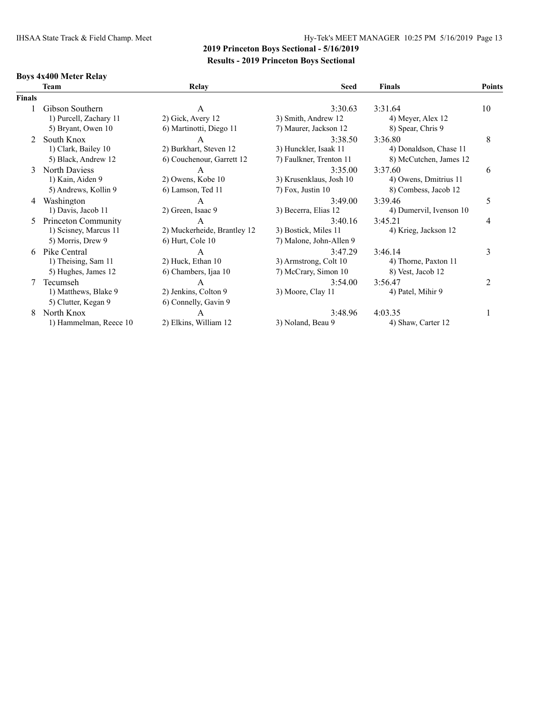### IHSAA State Track & Field Champ. Meet Hy-Tek's MEET MANAGER 10:25 PM 5/16/2019 Page 13

## **2019 Princeton Boys Sectional - 5/16/2019 Results - 2019 Princeton Boys Sectional**

### **Boys 4x400 Meter Relay**

| <b>Team</b>            | Relay                       | <b>Seed</b>             | <b>Finals</b>           | <b>Points</b>                |
|------------------------|-----------------------------|-------------------------|-------------------------|------------------------------|
| <b>Finals</b>          |                             |                         |                         |                              |
| Gibson Southern        | A                           | 3:30.63                 | 3:31.64                 | 10                           |
| 1) Purcell, Zachary 11 | 2) Gick, Avery 12           | 3) Smith, Andrew 12     | 4) Meyer, Alex 12       |                              |
| 5) Bryant, Owen 10     | 6) Martinotti, Diego 11     | 7) Maurer, Jackson 12   | 8) Spear, Chris 9       |                              |
| South Knox             | A                           | 3:38.50                 | 3:36.80                 | 8                            |
| 1) Clark, Bailey 10    | 2) Burkhart, Steven 12      | 3) Hunckler, Isaak 11   | 4) Donaldson, Chase 11  |                              |
| 5) Black, Andrew 12    | 6) Couchenour, Garrett 12   | 7) Faulkner, Trenton 11 | 8) McCutchen, James 12  |                              |
| North Daviess          | A                           | 3:35.00                 | 3:37.60                 | 6                            |
| 1) Kain, Aiden 9       | 2) Owens, Kobe 10           | 3) Krusenklaus, Josh 10 | 4) Owens, Dmitrius 11   |                              |
| 5) Andrews, Kollin 9   | 6) Lamson, Ted 11           | 7) Fox, Justin 10       | 8) Combess, Jacob 12    |                              |
| Washington<br>4        | A                           | 3:49.00                 | 3:39.46                 | 5                            |
| 1) Davis, Jacob 11     | 2) Green, Isaac 9           | 3) Becerra, Elias 12    | 4) Dumervil, Ivenson 10 |                              |
| Princeton Community    | A                           | 3:40.16                 | 3:45.21                 | 4                            |
| 1) Scisney, Marcus 11  | 2) Muckerheide, Brantley 12 |                         | 4) Krieg, Jackson 12    |                              |
| 5) Morris, Drew 9      | $6$ ) Hurt, Cole 10         | 7) Malone, John-Allen 9 |                         |                              |
| Pike Central<br>6.     | A                           | 3:47.29                 | 3:46.14                 | 3                            |
|                        |                             | 3) Armstrong, Colt 10   | 4) Thorne, Paxton 11    |                              |
| 5) Hughes, James 12    | 6) Chambers, Ijaa 10        | 7) McCrary, Simon 10    | 8) Vest, Jacob 12       |                              |
| Tecumseh               | A                           | 3:54.00                 |                         | 2                            |
| 1) Matthews, Blake 9   | 2) Jenkins, Colton 9        | 3) Moore, Clay 11       |                         |                              |
| 5) Clutter, Kegan 9    | 6) Connelly, Gavin 9        |                         |                         |                              |
| North Knox             | A                           | 3:48.96                 | 4:03.35                 |                              |
| 1) Hammelman, Reece 10 | 2) Elkins, William 12       | 3) Noland, Beau 9       | 4) Shaw, Carter 12      |                              |
|                        | 1) Theising, Sam 11         | 2) Huck, Ethan 10       | 3) Bostick, Miles 11    | 3:56.47<br>4) Patel, Mihir 9 |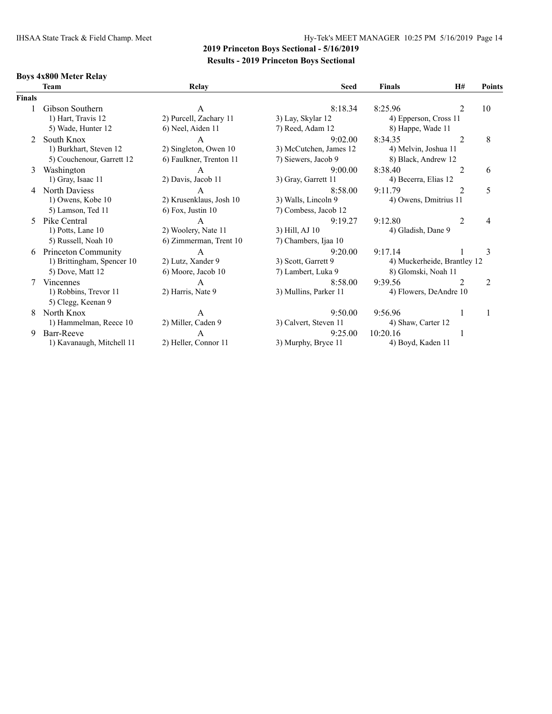### IHSAA State Track & Field Champ. Meet Hy-Tek's MEET MANAGER 10:25 PM 5/16/2019 Page 14

## **2019 Princeton Boys Sectional - 5/16/2019 Results - 2019 Princeton Boys Sectional**

### **Boys 4x800 Meter Relay**

|               | <b>Team</b>                | Relay                   | <b>Seed</b>            | <b>Finals</b>               | H#             | <b>Points</b> |
|---------------|----------------------------|-------------------------|------------------------|-----------------------------|----------------|---------------|
| <b>Finals</b> |                            |                         |                        |                             |                |               |
|               | Gibson Southern            | A                       | 8:18.34                | 8:25.96                     | $\overline{2}$ | 10            |
|               | 1) Hart, Travis 12         | 2) Purcell, Zachary 11  | 3) Lay, Skylar 12      | 4) Epperson, Cross 11       |                |               |
|               | 5) Wade, Hunter 12         | 6) Neel, Aiden 11       | 7) Reed, Adam 12       | 8) Happe, Wade 11           |                |               |
| $\mathcal{L}$ | South Knox                 | A                       | 9:02.00                | 8:34.35                     | 2              | 8             |
|               | 1) Burkhart, Steven 12     | 2) Singleton, Owen 10   | 3) McCutchen, James 12 | 4) Melvin, Joshua 11        |                |               |
|               | 5) Couchenour, Garrett 12  | 6) Faulkner, Trenton 11 | 7) Siewers, Jacob 9    | 8) Black, Andrew 12         |                |               |
| 3             | Washington                 | A                       | 9:00.00                | 8:38.40                     | $\overline{2}$ | 6             |
|               | 1) Gray, Isaac 11          | 2) Davis, Jacob 11      | 3) Gray, Garrett 11    | 4) Becerra, Elias 12        |                |               |
|               | North Daviess              | A                       | 8:58.00                | 9:11.79                     | $\overline{2}$ | 5             |
|               | 1) Owens, Kobe 10          | 2) Krusenklaus, Josh 10 | 3) Walls, Lincoln 9    | 4) Owens, Dmitrius 11       |                |               |
|               | 5) Lamson, Ted 11          | 6) Fox, Justin 10       | 7) Combess, Jacob 12   |                             |                |               |
| 5.            | Pike Central               | A                       | 9:19.27                | 9:12.80                     | $\overline{2}$ | 4             |
|               | 1) Potts, Lane 10          | 2) Woolery, Nate 11     | 3) Hill, AJ 10         | 4) Gladish, Dane 9          |                |               |
|               | 5) Russell, Noah 10        | 6) Zimmerman, Trent 10  | 7) Chambers, Ijaa 10   |                             |                |               |
| 6             | Princeton Community        | $\mathsf{A}$            | 9:20.00                | 9:17.14                     |                | 3             |
|               | 1) Brittingham, Spencer 10 | 2) Lutz, Xander 9       | 3) Scott, Garrett 9    | 4) Muckerheide, Brantley 12 |                |               |
|               | 5) Dove, Matt 12           | 6) Moore, Jacob 10      | 7) Lambert, Luka 9     | 8) Glomski, Noah 11         |                |               |
|               | <b>Vincennes</b>           | A                       | 8:58.00                | 9:39.56                     | $\mathfrak{D}$ | 2             |
|               | 1) Robbins, Trevor 11      | 2) Harris, Nate 9       | 3) Mullins, Parker 11  | 4) Flowers, DeAndre 10      |                |               |
|               | 5) Clegg, Keenan 9         |                         |                        |                             |                |               |
| 8             | North Knox                 | A                       | 9:50.00                | 9:56.96                     |                | 1             |
|               | 1) Hammelman, Reece 10     | 2) Miller, Caden 9      | 3) Calvert, Steven 11  | 4) Shaw, Carter 12          |                |               |
| 9             | Barr-Reeve                 | A                       | 9:25.00                | 10:20.16                    |                |               |
|               | 1) Kavanaugh, Mitchell 11  | 2) Heller, Connor 11    | 3) Murphy, Bryce 11    | 4) Boyd, Kaden 11           |                |               |
|               |                            |                         |                        |                             |                |               |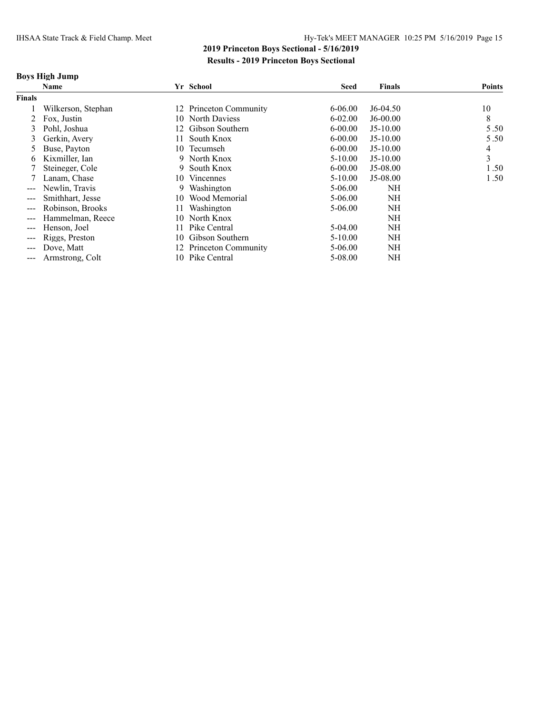### **Boys High Jump**

|                                                                                                                                                                                                                                                                                                                                                                                                                                                                            | <b>Name</b>        |     | Yr School              | <b>Seed</b> | <b>Finals</b> | <b>Points</b> |
|----------------------------------------------------------------------------------------------------------------------------------------------------------------------------------------------------------------------------------------------------------------------------------------------------------------------------------------------------------------------------------------------------------------------------------------------------------------------------|--------------------|-----|------------------------|-------------|---------------|---------------|
| <b>Finals</b>                                                                                                                                                                                                                                                                                                                                                                                                                                                              |                    |     |                        |             |               |               |
|                                                                                                                                                                                                                                                                                                                                                                                                                                                                            | Wilkerson, Stephan |     | 12 Princeton Community | $6 - 06.00$ | $J6-04.50$    | 10            |
|                                                                                                                                                                                                                                                                                                                                                                                                                                                                            | Fox. Justin        |     | 10 North Daviess       | $6 - 02.00$ | $J6-00.00$    | 8             |
| 3                                                                                                                                                                                                                                                                                                                                                                                                                                                                          | Pohl, Joshua       |     | 12 Gibson Southern     | $6 - 00.00$ | $J5-10.00$    | 5.50          |
| 3                                                                                                                                                                                                                                                                                                                                                                                                                                                                          | Gerkin, Avery      |     | South Knox             | $6 - 00.00$ | $J5-10.00$    | 5.50          |
| 5                                                                                                                                                                                                                                                                                                                                                                                                                                                                          | Buse, Payton       | 10. | Tecumseh               | $6 - 00.00$ | $J5-10.00$    | 4             |
| 6                                                                                                                                                                                                                                                                                                                                                                                                                                                                          | Kixmiller, Ian     |     | 9 North Knox           | $5 - 10.00$ | $J5-10.00$    | 3             |
|                                                                                                                                                                                                                                                                                                                                                                                                                                                                            | Steineger, Cole    | 9   | South Knox             | $6 - 00.00$ | $J5-08.00$    | 1.50          |
|                                                                                                                                                                                                                                                                                                                                                                                                                                                                            | Lanam, Chase       | 10. | <b>Vincennes</b>       | $5 - 10.00$ | $J5-08.00$    | 1.50          |
| $\qquad \qquad -$                                                                                                                                                                                                                                                                                                                                                                                                                                                          | Newlin, Travis     | 9   | Washington             | 5-06.00     | NH            |               |
| $\qquad \qquad -$                                                                                                                                                                                                                                                                                                                                                                                                                                                          | Smithhart, Jesse   | 10  | Wood Memorial          | $5 - 06.00$ | NH            |               |
| $\qquad \qquad -$                                                                                                                                                                                                                                                                                                                                                                                                                                                          | Robinson, Brooks   |     | Washington             | 5-06.00     | NH            |               |
| $\qquad \qquad -$                                                                                                                                                                                                                                                                                                                                                                                                                                                          | Hammelman, Reece   | 10  | North Knox             |             | NH            |               |
| $---$                                                                                                                                                                                                                                                                                                                                                                                                                                                                      | Henson, Joel       |     | Pike Central           | 5-04.00     | NH            |               |
| $\qquad \qquad -$                                                                                                                                                                                                                                                                                                                                                                                                                                                          | Riggs, Preston     |     | 10 Gibson Southern     | $5 - 10.00$ | NH            |               |
| $---$                                                                                                                                                                                                                                                                                                                                                                                                                                                                      | Dove, Matt         |     | 12 Princeton Community | 5-06.00     | NH            |               |
| $\frac{1}{2} \left( \frac{1}{2} \right) \left( \frac{1}{2} \right) \left( \frac{1}{2} \right) \left( \frac{1}{2} \right) \left( \frac{1}{2} \right) \left( \frac{1}{2} \right) \left( \frac{1}{2} \right) \left( \frac{1}{2} \right) \left( \frac{1}{2} \right) \left( \frac{1}{2} \right) \left( \frac{1}{2} \right) \left( \frac{1}{2} \right) \left( \frac{1}{2} \right) \left( \frac{1}{2} \right) \left( \frac{1}{2} \right) \left( \frac{1}{2} \right) \left( \frac$ | Armstrong, Colt    |     | 10 Pike Central        | 5-08.00     | NH            |               |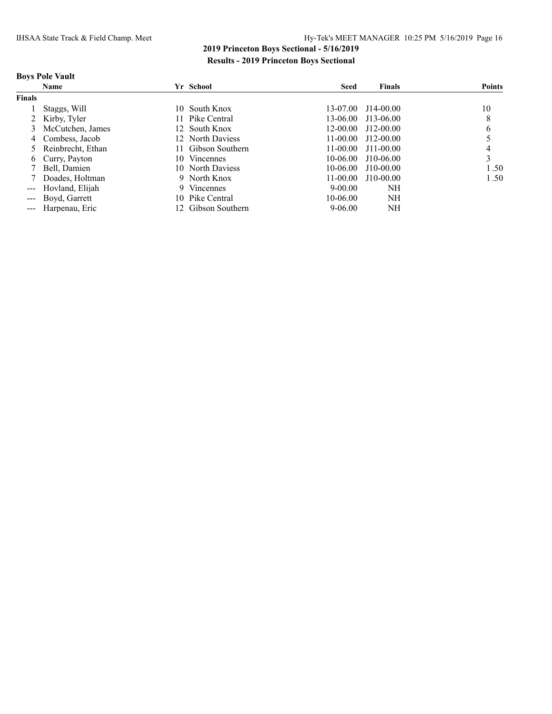### **Boys Pole Vault**

|               | Name                |     | Yr School          | <b>Seed</b>  | <b>Finals</b>      | <b>Points</b> |
|---------------|---------------------|-----|--------------------|--------------|--------------------|---------------|
| <b>Finals</b> |                     |     |                    |              |                    |               |
|               | Staggs, Will        | 10. | South Knox         | 13-07.00     | $J14-00.00$        | 10            |
|               | 2 Kirby, Tyler      |     | 11 Pike Central    |              | 13-06.00 J13-06.00 | 8             |
|               | 3 McCutchen, James  |     | 12 South Knox      | $12 - 00.00$ | J12-00.00          | b             |
|               | 4 Combess, Jacob    |     | 12 North Daviess   | $11 - 00.00$ | J12-00.00          |               |
|               | 5 Reinbrecht, Ethan |     | 11 Gibson Southern | $11 - 00.00$ | $J11 - 00.00$      |               |
|               | 6 Curry, Payton     | 10. | <b>Vincennes</b>   | $10-06.00$   | $J10-06.00$        | 3             |
|               | Bell, Damien        |     | 10 North Daviess   | $10-06.00$   | $J10-00.00$        | 1.50          |
|               | Doades, Holtman     |     | 9 North Knox       | $11 - 00.00$ | $J10-00.00$        | 1.50          |
|               | --- Hovland, Elijah |     | 9 Vincennes        | $9 - 00.00$  | NH                 |               |
|               | --- Boyd, Garrett   | 10. | Pike Central       | 10-06.00     | NH                 |               |
|               | --- Harpenau, Eric  |     | 12 Gibson Southern | 9-06.00      | NH                 |               |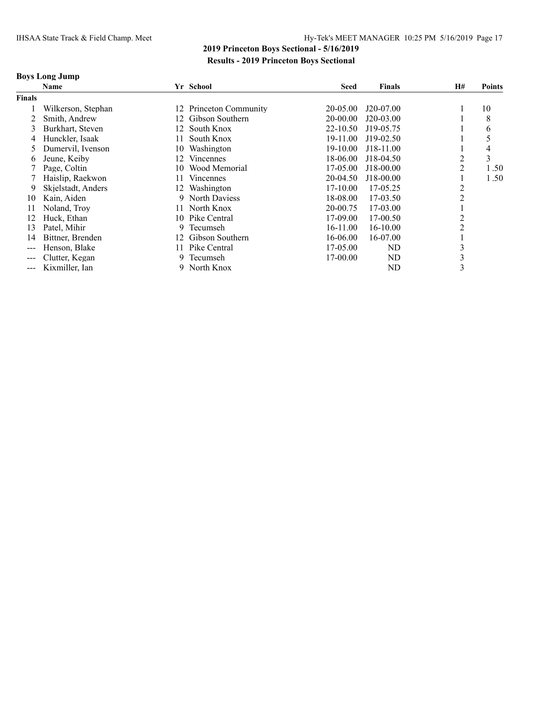### **Boys Long Jump**

|                        | Name               |     | Yr School           | <b>Seed</b> | <b>Finals</b> | H# | <b>Points</b> |
|------------------------|--------------------|-----|---------------------|-------------|---------------|----|---------------|
| <b>Finals</b>          |                    |     |                     |             |               |    |               |
|                        | Wilkerson, Stephan | 12  | Princeton Community | 20-05.00    | J20-07.00     |    | 10            |
|                        | Smith, Andrew      | 12. | Gibson Southern     | 20-00.00    | J20-03.00     |    | 8             |
| 3                      | Burkhart, Steven   | 12  | South Knox          | 22-10.50    | J19-05.75     |    | 6             |
| 4                      | Hunckler, Isaak    | 11  | South Knox          | 19-11.00    | J19-02.50     |    |               |
|                        | Dumervil. Ivenson  | 10  | Washington          | 19-10.00    | J18-11.00     |    | 4             |
| 6                      | Jeune, Keiby       | 12  | <b>Vincennes</b>    | 18-06.00    | J18-04.50     | 2  | 3             |
|                        | Page, Coltin       | 10  | Wood Memorial       | 17-05.00    | J18-00.00     | 2  | 1.50          |
|                        | Haislip, Raekwon   | 11  | <b>Vincennes</b>    | 20-04.50    | J18-00.00     |    | 1.50          |
| 9                      | Skjelstadt, Anders | 12  | Washington          | 17-10.00    | 17-05.25      |    |               |
| 10                     | Kain, Aiden        | 9   | North Daviess       | 18-08.00    | 17-03.50      | າ  |               |
| 11                     | Noland, Troy       | 11. | North Knox          | 20-00.75    | 17-03.00      |    |               |
| 12                     | Huck, Ethan        | 10  | Pike Central        | 17-09.00    | 17-00.50      | 2  |               |
| 13                     | Patel, Mihir       | 9   | Tecumseh            | 16-11.00    | 16-10.00      | 2  |               |
| 14                     | Bittner, Brenden   | 12  | Gibson Southern     | 16-06.00    | 16-07.00      |    |               |
| $\qquad \qquad -$      | Henson, Blake      | 11. | Pike Central        | 17-05.00    | ND            | C  |               |
| $\qquad \qquad \cdots$ | Clutter, Kegan     | 9   | Tecumseh            | 17-00.00    | ND            | 3  |               |
| $\qquad \qquad -$      | Kixmiller, Ian     | 9   | North Knox          |             | ND            | 3  |               |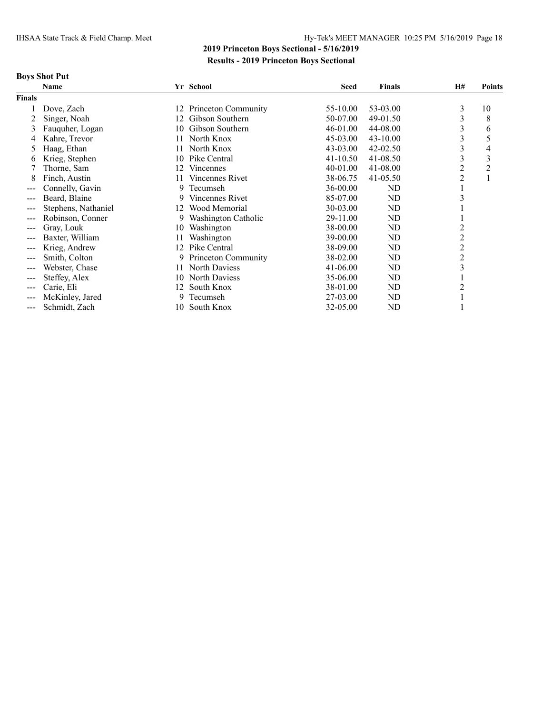# **Boys Shot Put**

|        | Name                |     | Yr School           | <b>Seed</b>  | <b>Finals</b>  | H#             | <b>Points</b> |
|--------|---------------------|-----|---------------------|--------------|----------------|----------------|---------------|
| Finals |                     |     |                     |              |                |                |               |
|        | Dove, Zach          | 12  | Princeton Community | 55-10.00     | 53-03.00       | 3              | 10            |
| 2      | Singer, Noah        | 12  | Gibson Southern     | 50-07.00     | 49-01.50       | 3              | 8             |
| 3      | Fauquher, Logan     | 10  | Gibson Southern     | 46-01.00     | 44-08.00       | 3              | 6             |
|        | Kahre, Trevor       | 11. | North Knox          | 45-03.00     | 43-10.00       |                | 5             |
| 5      | Haag, Ethan         | 11  | North Knox          | 43-03.00     | $42 - 02.50$   | 3              | 4             |
| 6      | Krieg, Stephen      | 10  | Pike Central        | $41 - 10.50$ | 41-08.50       | 3              | 3             |
|        | Thorne, Sam         | 12  | <b>Vincennes</b>    | 40-01.00     | 41-08.00       | 2              | 2             |
| 8      | Finch, Austin       |     | Vincennes Rivet     | 38-06.75     | $41 - 05.50$   | 2              |               |
|        | Connelly, Gavin     | 9   | Tecumseh            | 36-00.00     | ND             |                |               |
|        | Beard, Blaine       | 9.  | Vincennes Rivet     | 85-07.00     | N <sub>D</sub> |                |               |
|        | Stephens, Nathaniel | 12  | Wood Memorial       | 30-03.00     | ND             |                |               |
| ---    | Robinson, Conner    | 9   | Washington Catholic | 29-11.00     | ND             |                |               |
| ---    | Gray, Louk          | 10  | Washington          | 38-00.00     | N <sub>D</sub> |                |               |
|        | Baxter, William     | 11  | Washington          | 39-00.00     | ND             | $\overline{c}$ |               |
| ---    | Krieg, Andrew       | 12  | Pike Central        | 38-09.00     | ND             | $\overline{c}$ |               |
|        | Smith, Colton       | 9.  | Princeton Community | 38-02.00     | ND             | $\overline{c}$ |               |
|        | Webster, Chase      | 11. | North Daviess       | $41 - 06.00$ | ND             | 3              |               |
| ---    | Steffey, Alex       | 10  | North Daviess       | 35-06.00     | ND             |                |               |
|        | Carie, Eli          | 12  | South Knox          | 38-01.00     | ND             | 2              |               |
| ---    | McKinley, Jared     | 9   | Tecumseh            | 27-03.00     | ND             |                |               |
| ---    | Schmidt, Zach       | 10  | South Knox          | 32-05.00     | ND             |                |               |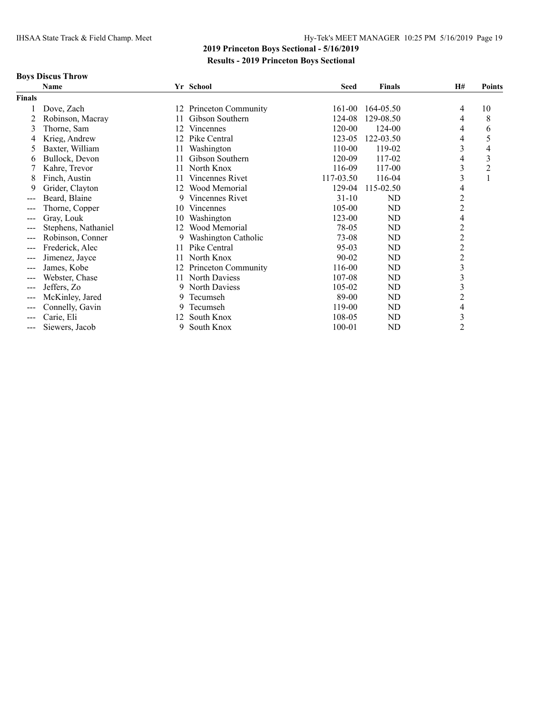# **Boys Discus Throw**

|               | Name                |     | Yr School              | <b>Seed</b> | <b>Finals</b> | <b>H#</b>                | <b>Points</b>  |
|---------------|---------------------|-----|------------------------|-------------|---------------|--------------------------|----------------|
| <b>Finals</b> |                     |     |                        |             |               |                          |                |
|               | Dove, Zach          | 12  | Princeton Community    | 161-00      | 164-05.50     | 4                        | 10             |
|               | Robinson, Macray    | 11  | Gibson Southern        | 124-08      | 129-08.50     | 4                        | 8              |
| 3             | Thorne, Sam         | 12  | Vincennes              | 120-00      | 124-00        | 4                        | 6              |
| 4             | Krieg, Andrew       | 12  | Pike Central           | 123-05      | 122-03.50     | 4                        | 5              |
| 5             | Baxter, William     | 11  | Washington             | 110-00      | 119-02        | $\overline{\mathbf{3}}$  | 4              |
| 6             | Bullock, Devon      | 11  | Gibson Southern        | 120-09      | 117-02        | 4                        | 3              |
|               | Kahre, Trevor       | 11  | North Knox             | 116-09      | 117-00        | $\overline{\mathbf{3}}$  | $\overline{2}$ |
| 8             | Finch, Austin       | 11  | <b>Vincennes Rivet</b> | 117-03.50   | 116-04        | 3                        | $\mathbf{1}$   |
| 9             | Grider, Clayton     | 12  | Wood Memorial          | 129-04      | 115-02.50     | 4                        |                |
| $---$         | Beard, Blaine       | 9   | Vincennes Rivet        | $31 - 10$   | ND            | $\overline{c}$           |                |
| $---$         | Thorne, Copper      | 10  | Vincennes              | 105-00      | ND            | $\overline{c}$           |                |
| ---           | Gray, Louk          | 10  | Washington             | 123-00      | ND            | $\overline{\mathcal{A}}$ |                |
| $---$         | Stephens, Nathaniel | 12  | Wood Memorial          | 78-05       | ND            | $\overline{c}$           |                |
| $---$         | Robinson, Conner    | 9   | Washington Catholic    | 73-08       | ND            | $\overline{c}$           |                |
| $---$         | Frederick, Alec     | 11  | Pike Central           | $95-03$     | ND            | $\overline{c}$           |                |
| $--$          | Jimenez, Jayce      | 11  | North Knox             | 90-02       | ND            | $\overline{c}$           |                |
| $---$         | James, Kobe         | 12. | Princeton Community    | 116-00      | ND            | $\mathfrak{Z}$           |                |
| $--$          | Webster, Chase      | 11  | North Daviess          | 107-08      | ND            | $\overline{\mathbf{3}}$  |                |
| $---$         | Jeffers, Zo         | 9.  | North Daviess          | 105-02      | ND            | 3                        |                |
| $--$          | McKinley, Jared     | 9   | Tecumseh               | 89-00       | ND            | $\overline{c}$           |                |
|               | Connelly, Gavin     | 9   | Tecumseh               | 119-00      | ND            | 4                        |                |
| $--$          | Carie, Eli          | 12  | South Knox             | 108-05      | ND            | $\mathfrak{Z}$           |                |
| $---$         | Siewers, Jacob      | 9   | South Knox             | 100-01      | ND            | $\overline{2}$           |                |
|               |                     |     |                        |             |               |                          |                |